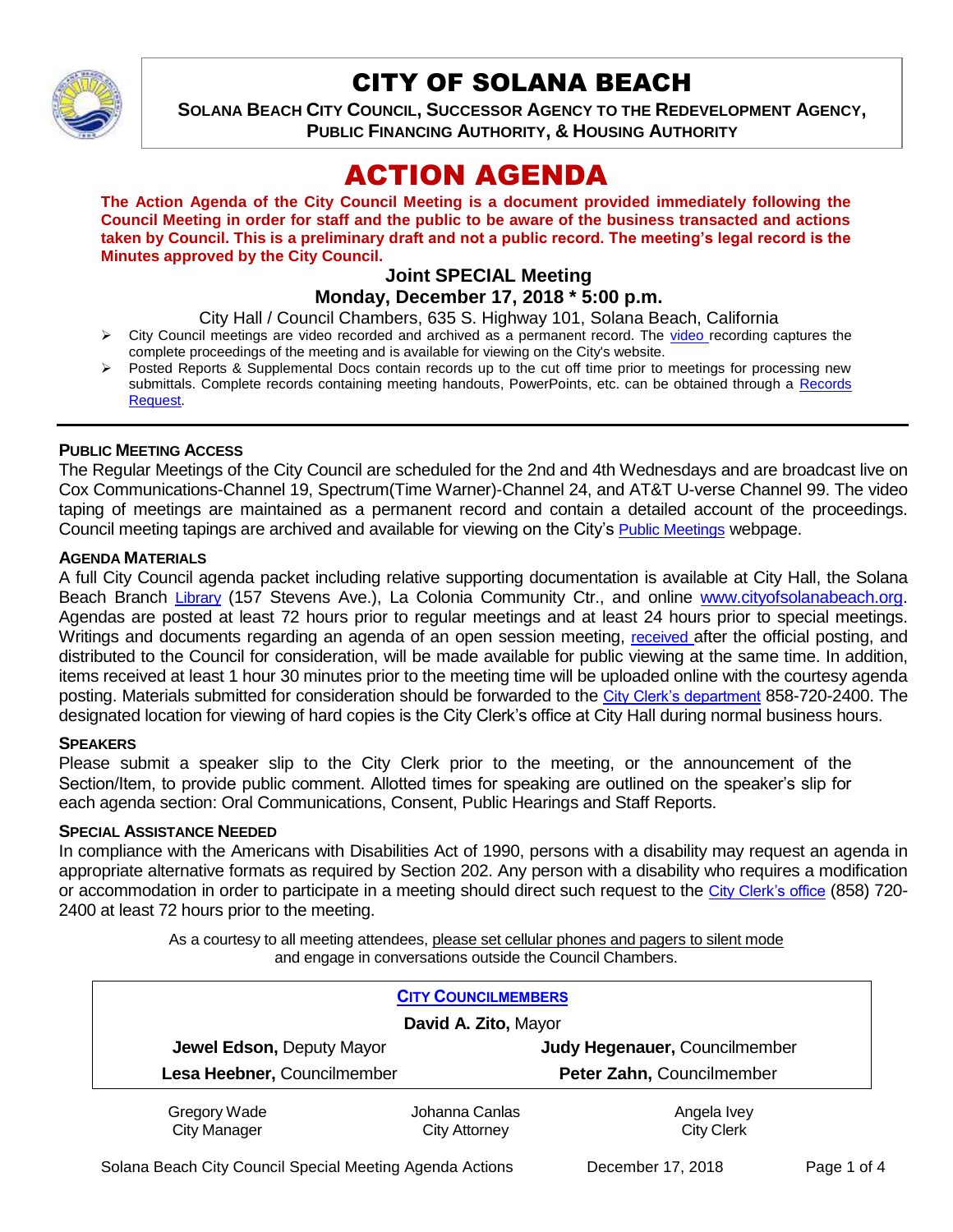

# CITY OF SOLANA BEACH

**SOLANA BEACH CITY COUNCIL, SUCCESSOR AGENCY TO THE REDEVELOPMENT AGENCY, PUBLIC FINANCING AUTHORITY, & HOUSING AUTHORITY** 

# ACTION AGENDA

**The Action Agenda of the City Council Meeting is a document provided immediately following the Council Meeting in order for staff and the public to be aware of the business transacted and actions taken by Council. This is a preliminary draft and not a public record. The meeting's legal record is the Minutes approved by the City Council.**

#### **Joint SPECIAL Meeting Monday, December 17, 2018 \* 5:00 p.m.**

City Hall / Council Chambers, 635 S. Highway 101, Solana Beach, California

- $\triangleright$  City Council meetings are [video r](https://solanabeach.12milesout.com/#page=1)ecorded and archived as a permanent record. The video recording captures the complete proceedings of the meeting and is available for viewing on the City's website.
- Posted Reports & Supplemental Docs contain records up to the cut off time prior to meetings for processing new submittals. Complete records containing meeting handouts, PowerPoints, etc. can be obtained through a Records [Request.](http://www.ci.solana-beach.ca.us/index.asp?SEC=F5D45D10-70CE-4291-A27C-7BD633FC6742&Type=B_BASIC)

#### **PUBLIC MEETING ACCESS**

The Regular Meetings of the City Council are scheduled for the 2nd and 4th Wednesdays and are broadcast live on Cox Communications-Channel 19, Spectrum(Time Warner)-Channel 24, and AT&T U-verse Channel 99. The video taping of meetings are maintained as a permanent record and contain a detailed account of the proceedings. Council meeting tapings are archived and available for viewing on the City's [Public Meetings](https://www.ci.solana-beach.ca.us/index.asp?SEC=F0F1200D-21C6-4A88-8AE1-0BC07C1A81A7&Type=B_BASIC) webpage.

#### **AGENDA MATERIALS**

A full City Council agenda packet including relative supporting documentation is available at City Hall, the Solana Beach Branch [Library](http://www.sdcl.org/locations_SB.html) (157 Stevens Ave.), La Colonia Community Ctr., and online [www.cityofsolanabeach.org.](http://www.cityofsolanabeach.org/) Agendas are posted at least 72 hours prior to regular meetings and at least 24 hours prior to special meetings. Writings and documents regarding an agenda of an open session meeting, [received](mailto:EMAILGRP-CityClerksOfc@cosb.org) after the official posting, and distributed to the Council for consideration, will be made available for public viewing at the same time. In addition, items received at least 1 hour 30 minutes prior to the meeting time will be uploaded online with the courtesy agenda posting. Materials submitted for consideration should be forwarded to the [City Clerk's department](mailto:EMAILGRP-CityClerksOfc@cosb.org) 858-720-2400. The designated location for viewing of hard copies is the City Clerk's office at City Hall during normal business hours.

#### **SPEAKERS**

Please submit a speaker slip to the City Clerk prior to the meeting, or the announcement of the Section/Item, to provide public comment. Allotted times for speaking are outlined on the speaker's slip for each agenda section: Oral Communications, Consent, Public Hearings and Staff Reports.

#### **SPECIAL ASSISTANCE NEEDED**

In compliance with the Americans with Disabilities Act of 1990, persons with a disability may request an agenda in appropriate alternative formats as required by Section 202. Any person with a disability who requires a modification or accommodation in order to participate in a meeting should direct such request to the [City Clerk's office](mailto:clerkadmin@cosb.org?subject=City%20Clerk%20Notice%20of%20Special%20Services%20Needed) (858) 720- 2400 at least 72 hours prior to the meeting.

> As a courtesy to all meeting attendees, please set cellular phones and pagers to silent mode and engage in conversations outside the Council Chambers.

| <b>CITY COUNCILMEMBERS</b>          |                                        |                                  |
|-------------------------------------|----------------------------------------|----------------------------------|
| David A. Zito, Mayor                |                                        |                                  |
| Jewel Edson, Deputy Mayor           |                                        | Judy Hegenauer, Councilmember    |
| Lesa Heebner, Councilmember         |                                        | Peter Zahn, Councilmember        |
| Gregory Wade<br><b>City Manager</b> | Johanna Canlas<br><b>City Attorney</b> | Angela Ivey<br><b>City Clerk</b> |

Solana Beach City Council Special Meeting Agenda Actions **December 17, 2018** Page 1 of 4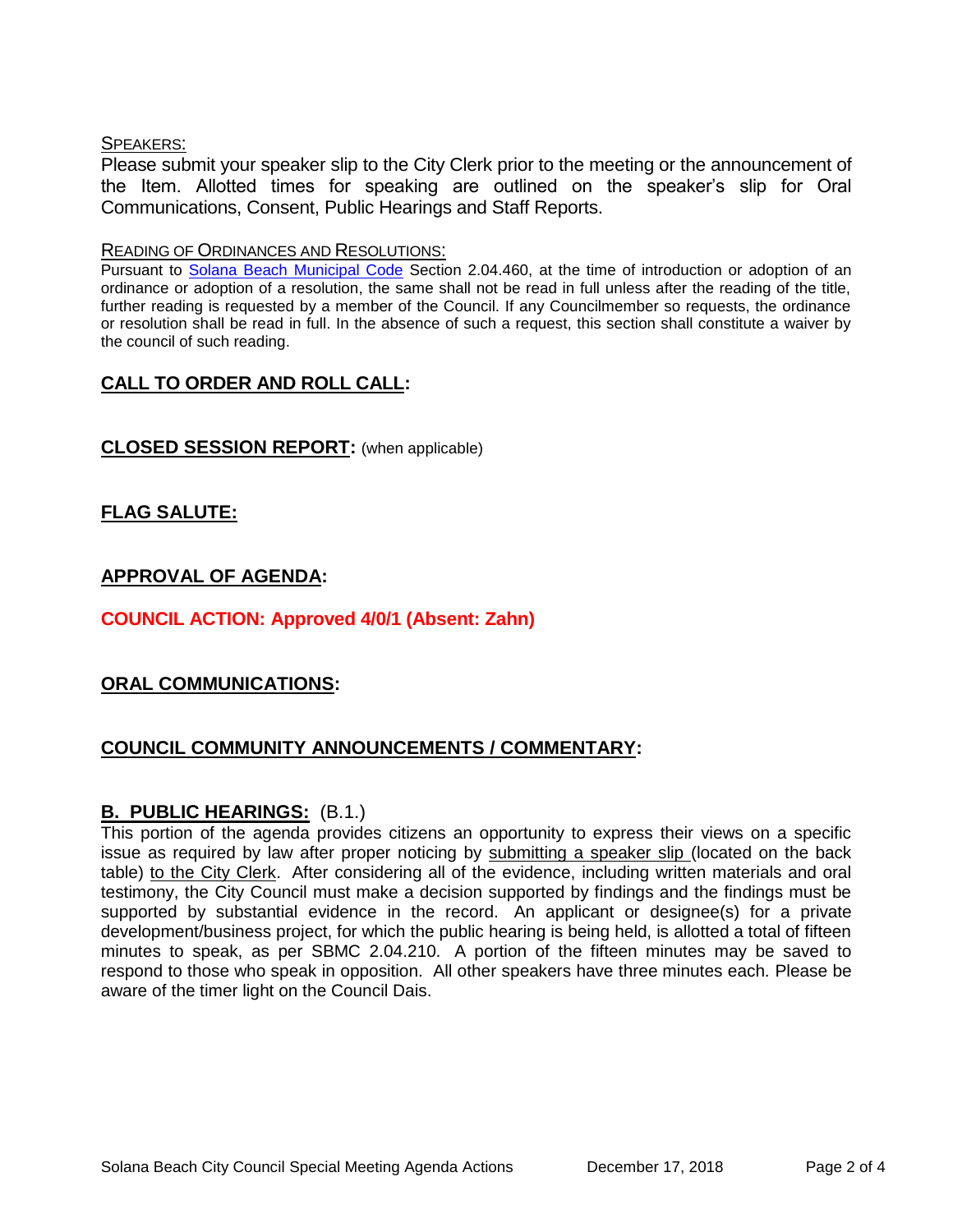#### SPEAKERS:

Please submit your speaker slip to the City Clerk prior to the meeting or the announcement of the Item. Allotted times for speaking are outlined on the speaker's slip for Oral Communications, Consent, Public Hearings and Staff Reports.

#### READING OF ORDINANCES AND RESOLUTIONS:

Pursuant to [Solana Beach Municipal Code](mailto:https://www.codepublishing.com/CA/SolanaBeach/) Section 2.04.460, at the time of introduction or adoption of an ordinance or adoption of a resolution, the same shall not be read in full unless after the reading of the title, further reading is requested by a member of the Council. If any Councilmember so requests, the ordinance or resolution shall be read in full. In the absence of such a request, this section shall constitute a waiver by the council of such reading.

# **CALL TO ORDER AND ROLL CALL:**

## **CLOSED SESSION REPORT:** (when applicable)

# **FLAG SALUTE:**

# **APPROVAL OF AGENDA:**

# **COUNCIL ACTION: Approved 4/0/1 (Absent: Zahn)**

## **ORAL COMMUNICATIONS:**

# **COUNCIL COMMUNITY ANNOUNCEMENTS / COMMENTARY:**

## **B. PUBLIC HEARINGS:** (B.1.)

This portion of the agenda provides citizens an opportunity to express their views on a specific issue as required by law after proper noticing by submitting a speaker slip (located on the back table) to the City Clerk. After considering all of the evidence, including written materials and oral testimony, the City Council must make a decision supported by findings and the findings must be supported by substantial evidence in the record. An applicant or designee(s) for a private development/business project, for which the public hearing is being held, is allotted a total of fifteen minutes to speak, as per SBMC 2.04.210. A portion of the fifteen minutes may be saved to respond to those who speak in opposition. All other speakers have three minutes each. Please be aware of the timer light on the Council Dais.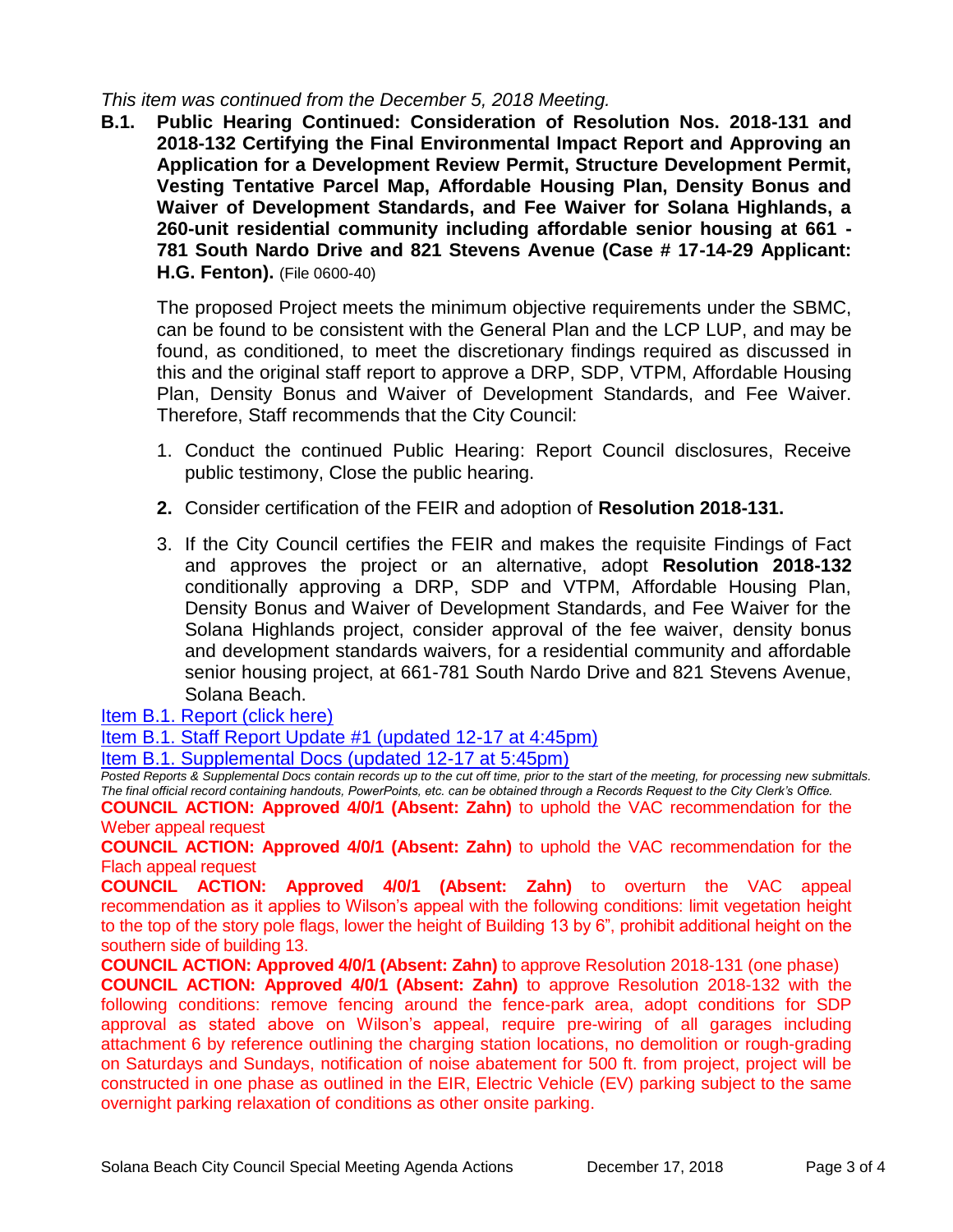*This item was continued from the December 5, 2018 Meeting.* 

**B.1. Public Hearing Continued: Consideration of Resolution Nos. 2018-131 and 2018-132 Certifying the Final Environmental Impact Report and Approving an Application for a Development Review Permit, Structure Development Permit, Vesting Tentative Parcel Map, Affordable Housing Plan, Density Bonus and Waiver of Development Standards, and Fee Waiver for Solana Highlands, a 260-unit residential community including affordable senior housing at 661 - 781 South Nardo Drive and 821 Stevens Avenue (Case # 17-14-29 Applicant: H.G. Fenton).** (File 0600-40)

The proposed Project meets the minimum objective requirements under the SBMC, can be found to be consistent with the General Plan and the LCP LUP, and may be found, as conditioned, to meet the discretionary findings required as discussed in this and the original staff report to approve a DRP, SDP, VTPM, Affordable Housing Plan, Density Bonus and Waiver of Development Standards, and Fee Waiver. Therefore, Staff recommends that the City Council:

- 1. Conduct the continued Public Hearing: Report Council disclosures, Receive public testimony, Close the public hearing.
- **2.** Consider certification of the FEIR and adoption of **Resolution 2018-131.**
- 3. If the City Council certifies the FEIR and makes the requisite Findings of Fact and approves the project or an alternative, adopt **Resolution 2018-132**  conditionally approving a DRP, SDP and VTPM, Affordable Housing Plan, Density Bonus and Waiver of Development Standards, and Fee Waiver for the Solana Highlands project, consider approval of the fee waiver, density bonus and development standards waivers, for a residential community and affordable senior housing project, at 661-781 South Nardo Drive and 821 Stevens Avenue, Solana Beach.

[Item B.1. Report \(click here\)](https://solanabeach.govoffice3.com/vertical/Sites/%7B840804C2-F869-4904-9AE3-720581350CE7%7D/uploads/Item_B.1._Report_(click_here)_12-17-18.pdf) 

[Item B.1. Staff Report Update #1 \(updated 12-17 at 4:45pm\)](https://solanabeach.govoffice3.com/vertical/Sites/%7B840804C2-F869-4904-9AE3-720581350CE7%7D/uploads/Staff_Report_Update_1.pdf)

[Item B.1. Supplemental Docs \(updated 12-17 at 5:45pm\)](https://solanabeach.govoffice3.com/vertical/Sites/%7B840804C2-F869-4904-9AE3-720581350CE7%7D/uploads/B.1._Supplemental_Docs_(Updated_12-17_at_545pm)_-_Updated.pdf)

*Posted Reports & Supplemental Docs contain records up to the cut off time, prior to the start of the meeting, for processing new submittals. The final official record containing handouts, PowerPoints, etc. can be obtained through a Records Request to the City Clerk's Office.*

**COUNCIL ACTION: Approved 4/0/1 (Absent: Zahn)** to uphold the VAC recommendation for the Weber appeal request

**COUNCIL ACTION: Approved 4/0/1 (Absent: Zahn)** to uphold the VAC recommendation for the Flach appeal request

**COUNCIL ACTION: Approved 4/0/1 (Absent: Zahn)** to overturn the VAC appeal recommendation as it applies to Wilson's appeal with the following conditions: limit vegetation height to the top of the story pole flags, lower the height of Building 13 by 6", prohibit additional height on the southern side of building 13.

**COUNCIL ACTION: Approved 4/0/1 (Absent: Zahn)** to approve Resolution 2018-131 (one phase)

**COUNCIL ACTION: Approved 4/0/1 (Absent: Zahn)** to approve Resolution 2018-132 with the following conditions: remove fencing around the fence-park area, adopt conditions for SDP approval as stated above on Wilson's appeal, require pre-wiring of all garages including attachment 6 by reference outlining the charging station locations, no demolition or rough-grading on Saturdays and Sundays, notification of noise abatement for 500 ft. from project, project will be constructed in one phase as outlined in the EIR, Electric Vehicle (EV) parking subject to the same overnight parking relaxation of conditions as other onsite parking.